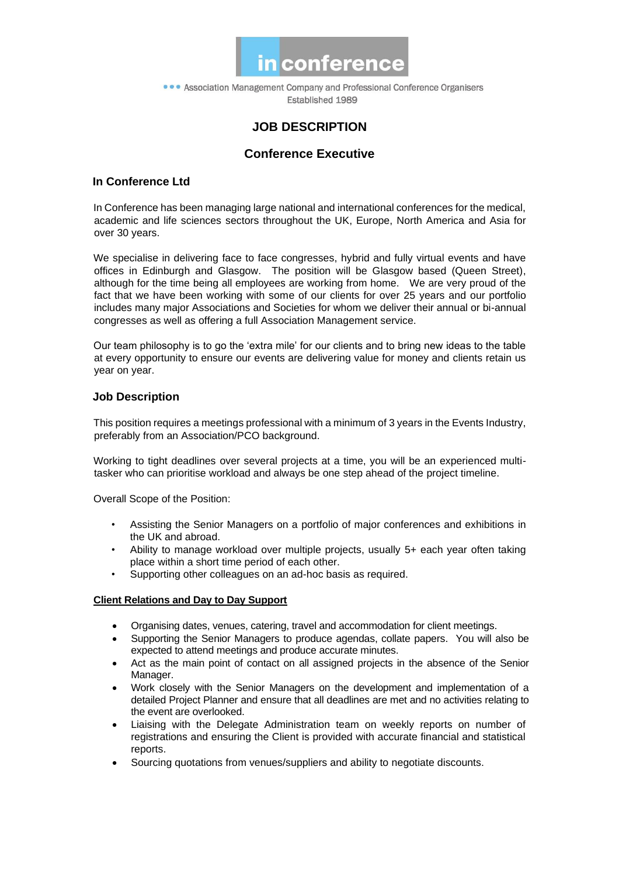

• • Association Management Company and Professional Conference Organisers Established 1989

# **JOB DESCRIPTION**

## **Conference Executive**

## **In Conference Ltd**

In Conference has been managing large national and international conferences for the medical, academic and life sciences sectors throughout the UK, Europe, North America and Asia for over 30 years.

We specialise in delivering face to face congresses, hybrid and fully virtual events and have offices in Edinburgh and Glasgow. The position will be Glasgow based (Queen Street), although for the time being all employees are working from home. We are very proud of the fact that we have been working with some of our clients for over 25 years and our portfolio includes many major Associations and Societies for whom we deliver their annual or bi-annual congresses as well as offering a full Association Management service.

Our team philosophy is to go the 'extra mile' for our clients and to bring new ideas to the table at every opportunity to ensure our events are delivering value for money and clients retain us year on year.

## **Job Description**

This position requires a meetings professional with a minimum of 3 years in the Events Industry, preferably from an Association/PCO background.

Working to tight deadlines over several projects at a time, you will be an experienced multitasker who can prioritise workload and always be one step ahead of the project timeline.

Overall Scope of the Position:

- Assisting the Senior Managers on a portfolio of major conferences and exhibitions in the UK and abroad.
- Ability to manage workload over multiple projects, usually 5+ each year often taking place within a short time period of each other.
- Supporting other colleagues on an ad-hoc basis as required.

#### **Client Relations and Day to Day Support**

- Organising dates, venues, catering, travel and accommodation for client meetings.
- Supporting the Senior Managers to produce agendas, collate papers. You will also be expected to attend meetings and produce accurate minutes.
- Act as the main point of contact on all assigned projects in the absence of the Senior Manager.
- Work closely with the Senior Managers on the development and implementation of a detailed Project Planner and ensure that all deadlines are met and no activities relating to the event are overlooked.
- Liaising with the Delegate Administration team on weekly reports on number of registrations and ensuring the Client is provided with accurate financial and statistical reports.
- Sourcing quotations from venues/suppliers and ability to negotiate discounts.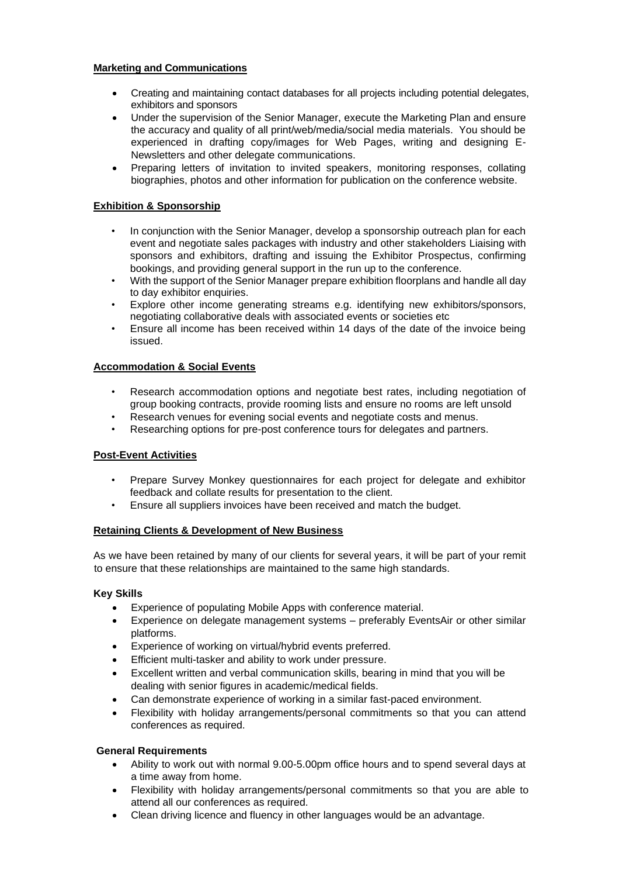#### **Marketing and Communications**

- Creating and maintaining contact databases for all projects including potential delegates, exhibitors and sponsors
- Under the supervision of the Senior Manager, execute the Marketing Plan and ensure the accuracy and quality of all print/web/media/social media materials. You should be experienced in drafting copy/images for Web Pages, writing and designing E-Newsletters and other delegate communications.
- Preparing letters of invitation to invited speakers, monitoring responses, collating biographies, photos and other information for publication on the conference website.

#### **Exhibition & Sponsorship**

- In conjunction with the Senior Manager, develop a sponsorship outreach plan for each event and negotiate sales packages with industry and other stakeholders Liaising with sponsors and exhibitors, drafting and issuing the Exhibitor Prospectus, confirming bookings, and providing general support in the run up to the conference.
- With the support of the Senior Manager prepare exhibition floorplans and handle all day to day exhibitor enquiries.
- Explore other income generating streams e.g. identifying new exhibitors/sponsors, negotiating collaborative deals with associated events or societies etc
- Ensure all income has been received within 14 days of the date of the invoice being issued.

#### **Accommodation & Social Events**

- Research accommodation options and negotiate best rates, including negotiation of group booking contracts, provide rooming lists and ensure no rooms are left unsold
- Research venues for evening social events and negotiate costs and menus.
- Researching options for pre-post conference tours for delegates and partners.

#### **Post-Event Activities**

- Prepare Survey Monkey questionnaires for each project for delegate and exhibitor feedback and collate results for presentation to the client.
- Ensure all suppliers invoices have been received and match the budget.

#### **Retaining Clients & Development of New Business**

As we have been retained by many of our clients for several years, it will be part of your remit to ensure that these relationships are maintained to the same high standards.

#### **Key Skills**

- Experience of populating Mobile Apps with conference material.
- Experience on delegate management systems preferably EventsAir or other similar platforms.
- Experience of working on virtual/hybrid events preferred.
- Efficient multi-tasker and ability to work under pressure.
- Excellent written and verbal communication skills, bearing in mind that you will be dealing with senior figures in academic/medical fields.
- Can demonstrate experience of working in a similar fast-paced environment.
- Flexibility with holiday arrangements/personal commitments so that you can attend conferences as required.

#### **General Requirements**

- Ability to work out with normal 9.00-5.00pm office hours and to spend several days at a time away from home.
- Flexibility with holiday arrangements/personal commitments so that you are able to attend all our conferences as required.
- Clean driving licence and fluency in other languages would be an advantage.